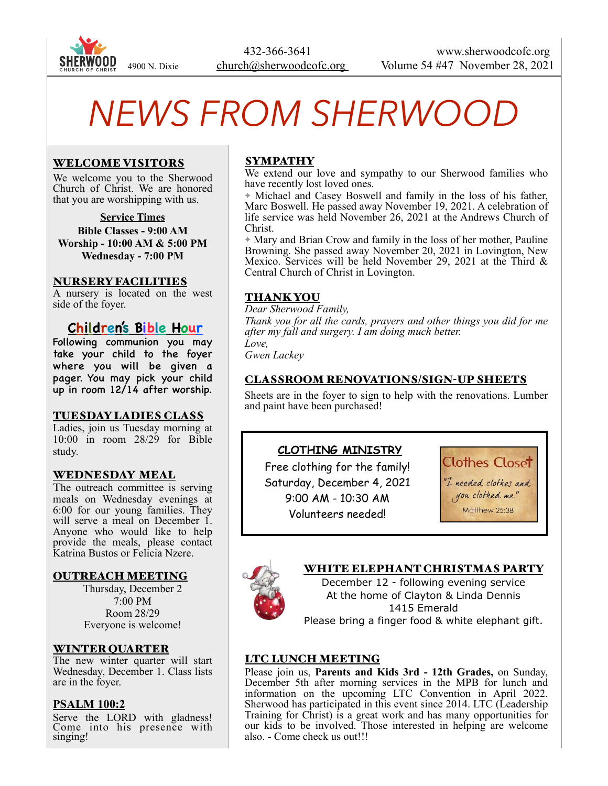

 432-366-3641 www.sherwoodcofc.org 4900 N. Dixie church@sherwoodcofc.org Volume 54 #47 November 28, 2021

# *NEWS FROM SHERWOOD*

## WELCOME VISITORS

We welcome you to the Sherwood Church of Christ. We are honored that you are worshipping with us.

#### **Service Times**

**Bible Classes - 9:00 AM Worship - 10:00 AM & 5:00 PM Wednesday - 7:00 PM** 

#### NURSERY FACILITIES

A nursery is located on the west side of the foyer.

# **Children's Bible Hour**

Following communion you may take your child to the foyer where you will be given a pager. You may pick your child up in room 12/14 after worship.

#### TUESDAY LADIES CLASS

Ladies, join us Tuesday morning at 10:00 in room 28/29 for Bible study.

#### WEDNESDAY MEAL

The outreach committee is serving meals on Wednesday evenings at 6:00 for our young families. They will serve a meal on December 1. Anyone who would like to help provide the meals, please contact Katrina Bustos or Felicia Nzere.

#### OUTREACH MEETING

Thursday, December 2 7:00 PM Room 28/29 Everyone is welcome!

#### WINTER QUARTER

The new winter quarter will start Wednesday, December 1. Class lists are in the foyer.

#### **PSALM 100:2**

Serve the LORD with gladness! Come into his presence with singing!

## SYMPATHY

We extend our love and sympathy to our Sherwood families who have recently lost loved ones.

✦ Michael and Casey Boswell and family in the loss of his father, Marc Boswell. He passed away November 19, 2021. A celebration of life service was held November 26, 2021 at the Andrews Church of Christ.

✦ Mary and Brian Crow and family in the loss of her mother, Pauline Browning. She passed away November 20, 2021 in Lovington, New Mexico. Services will be held November 29, 2021 at the Third & Central Church of Christ in Lovington.

#### THANK YOU

*Dear Sherwood Family, Thank you for all the cards, prayers and other things you did for me after my fall and surgery. I am doing much better. Love,* 

*Gwen Lackey* 

#### CLASSROOM RENOVATIONS/SIGN-UP SHEETS

Sheets are in the foyer to sign to help with the renovations. Lumber and paint have been purchased!

#### **CLOTHING MINISTRY**

Free clothing for the family! Saturday, December 4, 2021 9:00 AM - 10:30 AM Volunteers needed!

**Clothes Closet** 

"I needed clothes and you clothed me." Matthew 25:38



#### WHITE ELEPHANT CHRISTMAS PARTY

December 12 - following evening service At the home of Clayton & Linda Dennis 1415 Emerald Please bring a finger food & white elephant gift.

#### LTC LUNCH MEETING

Please join us, **Parents and Kids 3rd - 12th Grades,** on Sunday, December 5th after morning services in the MPB for lunch and information on the upcoming LTC Convention in April 2022. Sherwood has participated in this event since 2014. LTC (Leadership Training for Christ) is a great work and has many opportunities for our kids to be involved. Those interested in helping are welcome also. - Come check us out!!!